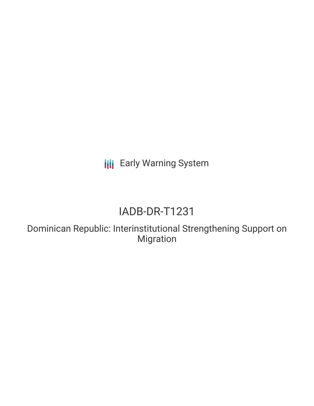**III** Early Warning System

# IADB-DR-T1231

Dominican Republic: Interinstitutional Strengthening Support on Migration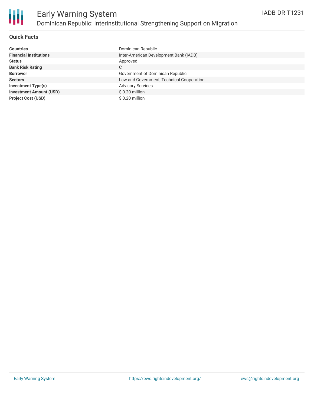

### **Quick Facts**

| <b>Countries</b>               | Dominican Republic                        |
|--------------------------------|-------------------------------------------|
| <b>Financial Institutions</b>  | Inter-American Development Bank (IADB)    |
| <b>Status</b>                  | Approved                                  |
| <b>Bank Risk Rating</b>        | C                                         |
| <b>Borrower</b>                | Government of Dominican Republic          |
| <b>Sectors</b>                 | Law and Government, Technical Cooperation |
| <b>Investment Type(s)</b>      | <b>Advisory Services</b>                  |
| <b>Investment Amount (USD)</b> | \$0.20 million                            |
| <b>Project Cost (USD)</b>      | $$0.20$ million                           |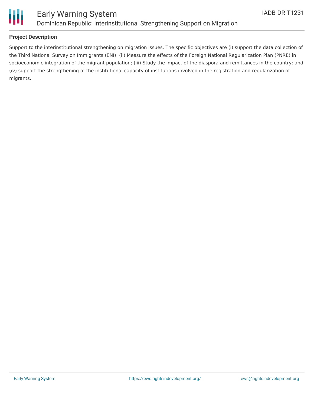

### Early Warning System Dominican Republic: Interinstitutional Strengthening Support on Migration

### **Project Description**

Support to the interinstitutional strengthening on migration issues. The specific objectives are (i) support the data collection of the Third National Survey on Immigrants (ENI); (ii) Measure the effects of the Foreign National Regularization Plan (PNRE) in socioeconomic integration of the migrant population; (iii) Study the impact of the diaspora and remittances in the country; and (iv) support the strengthening of the institutional capacity of institutions involved in the registration and regularization of migrants.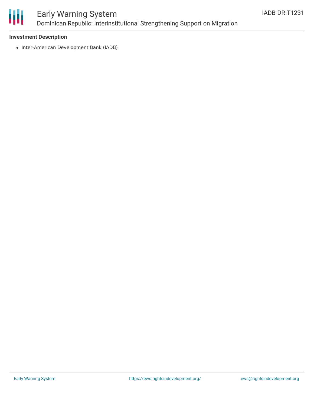

## Early Warning System Dominican Republic: Interinstitutional Strengthening Support on Migration

### **Investment Description**

• Inter-American Development Bank (IADB)